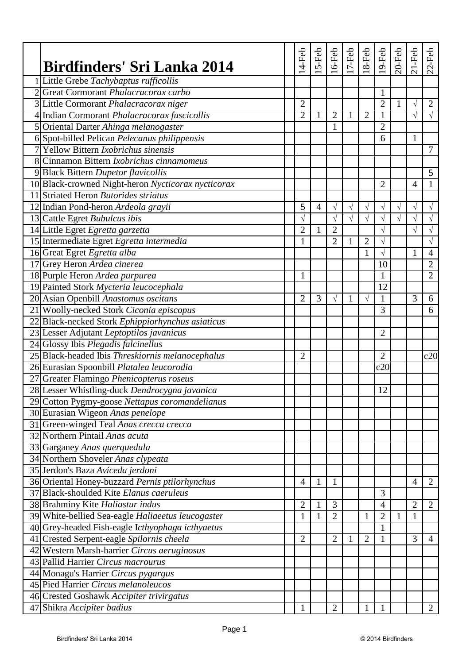| Birdfinders' Sri Lanka 2014                        | 4-Feb          | $5-Feb$        | $16$ -Feb      | 17-Feb       | $18-Feb$       | $19-Feb$       | $20$ -Feb | $21-Feb$       | $22-Feb$       |
|----------------------------------------------------|----------------|----------------|----------------|--------------|----------------|----------------|-----------|----------------|----------------|
| 1 Little Grebe Tachybaptus rufficollis             |                |                |                |              |                |                |           |                |                |
| 2 Great Cormorant Phalacracorax carbo              |                |                |                |              |                | $\mathbf{1}$   |           |                |                |
| 3 Little Cormorant Phalacracorax niger             | $\overline{2}$ |                |                |              |                | $\overline{2}$ | 1         | $\sqrt{}$      | $\overline{2}$ |
| 4 Indian Cormorant Phalacracorax fuscicollis       | $\overline{2}$ | $\mathbf{1}$   | $\overline{2}$ | $\mathbf{1}$ | $\overline{2}$ | $\mathbf{1}$   |           | $\sqrt{}$      | $\sqrt{ }$     |
| 5 Oriental Darter Ahinga melanogaster              |                |                | 1              |              |                | $\overline{2}$ |           |                |                |
| 6 Spot-billed Pelican Pelecanus philippensis       |                |                |                |              |                | 6              |           | 1              |                |
| 7 Yellow Bittern Ixobrichus sinensis               |                |                |                |              |                |                |           |                | 7              |
| 8 Cinnamon Bittern <i>Ixobrichus cinnamomeus</i>   |                |                |                |              |                |                |           |                |                |
| 9 Black Bittern Dupetor flavicollis                |                |                |                |              |                |                |           |                | 5              |
| 10 Black-crowned Night-heron Nycticorax nycticorax |                |                |                |              |                | $\overline{2}$ |           | $\overline{4}$ | 1              |
| 11 Striated Heron Butorides striatus               |                |                |                |              |                |                |           |                |                |
| 12 Indian Pond-heron Ardeola grayii                | 5              | $\overline{4}$ | $\sqrt{}$      | $\sqrt{}$    | $\sqrt{ }$     | $\sqrt{}$      | $\sqrt{}$ | $\sqrt{}$      | $\sqrt{}$      |
| 13 Cattle Egret Bubulcus ibis                      | $\sqrt{}$      |                | $\sqrt{}$      | $\sqrt{}$    | $\sqrt{}$      | $\sqrt{}$      | $\sqrt{}$ | $\sqrt{}$      | $\sqrt{}$      |
| 14 Little Egret Egretta garzetta                   | $\overline{2}$ | $\mathbf{1}$   | $\overline{2}$ |              |                | $\sqrt{}$      |           | $\sqrt{}$      | $\sqrt{}$      |
| 15 Intermediate Egret Egretta intermedia           | 1              |                | $\overline{2}$ | 1            | $\overline{2}$ | $\sqrt{}$      |           |                | $\sqrt{}$      |
| 16 Great Egret Egretta alba                        |                |                |                |              | 1              | $\sqrt{}$      |           | $\mathbf{1}$   | $\overline{4}$ |
| 17 Grey Heron Ardea cinerea                        |                |                |                |              |                | 10             |           |                | $\overline{2}$ |
| 18 Purple Heron Ardea purpurea                     | 1              |                |                |              |                | $\mathbf{1}$   |           |                | $\overline{2}$ |
| 19 Painted Stork Mycteria leucocephala             |                |                |                |              |                | 12             |           |                |                |
| 20 Asian Openbill Anastomus oscitans               | $\overline{2}$ | 3              | $\sqrt{ }$     | 1            | $\sqrt{ }$     | 1              |           | 3              | 6              |
| 21 Woolly-necked Stork Ciconia episcopus           |                |                |                |              |                | 3              |           |                | 6              |
| 22 Black-necked Stork Ephippiorhynchus asiaticus   |                |                |                |              |                |                |           |                |                |
| 23 Lesser Adjutant Leptoptilos javanicus           |                |                |                |              |                | $\overline{2}$ |           |                |                |
| 24 Glossy Ibis Plegadis falcinellus                |                |                |                |              |                |                |           |                |                |
| 25 Black-headed Ibis Threskiornis melanocephalus   | $\overline{2}$ |                |                |              |                | $\overline{2}$ |           |                | c20            |
| 26 Eurasian Spoonbill Platalea leucorodia          |                |                |                |              |                | c20            |           |                |                |
| 27 Greater Flamingo Phenicopterus roseus           |                |                |                |              |                |                |           |                |                |
| 28 Lesser Whistling-duck Dendrocygna javanica      |                |                |                |              |                | 12             |           |                |                |
| 29 Cotton Pygmy-goose Nettapus coromandelianus     |                |                |                |              |                |                |           |                |                |
| 30 Eurasian Wigeon Anas penelope                   |                |                |                |              |                |                |           |                |                |
| 31 Green-winged Teal Anas crecca crecca            |                |                |                |              |                |                |           |                |                |
| 32 Northern Pintail Anas acuta                     |                |                |                |              |                |                |           |                |                |
| 33 Garganey Anas querquedula                       |                |                |                |              |                |                |           |                |                |
| 34 Northern Shoveler Anas clypeata                 |                |                |                |              |                |                |           |                |                |
| 35 Jerdon's Baza Aviceda jerdoni                   |                |                |                |              |                |                |           |                |                |
| 36 Oriental Honey-buzzard Pernis ptilorhynchus     | $\overline{4}$ | $\mathbf{1}$   | $\mathbf{1}$   |              |                |                |           | $\overline{4}$ | $\overline{2}$ |
| 37 Black-shoulded Kite Elanus caeruleus            |                |                |                |              |                | 3              |           |                |                |
| 38 Brahminy Kite Haliastur indus                   | $\overline{2}$ | $\mathbf{1}$   | 3              |              |                | $\overline{4}$ |           | $\overline{2}$ | $\overline{2}$ |
| 39 White-bellied Sea-eagle Haliaeetus leucogaster  | 1              | 1              | $\overline{2}$ |              | 1              | $\overline{2}$ |           | 1              |                |
| 40 Grey-headed Fish-eagle Icthyophaga icthyaetus   |                |                |                |              |                | 1              |           |                |                |
| 41 Crested Serpent-eagle Spilornis cheela          | $\overline{2}$ |                | $\overline{2}$ | 1            | $\overline{2}$ | 1              |           | 3              | 4              |
| 42 Western Marsh-harrier Circus aeruginosus        |                |                |                |              |                |                |           |                |                |
| 43 Pallid Harrier Circus macrourus                 |                |                |                |              |                |                |           |                |                |
| 44 Monagu's Harrier Circus pygargus                |                |                |                |              |                |                |           |                |                |
| 45 Pied Harrier Circus melanoleucos                |                |                |                |              |                |                |           |                |                |
| 46 Crested Goshawk Accipiter trivirgatus           |                |                |                |              |                |                |           |                |                |
| 47 Shikra Accipiter badius                         | 1              |                | $\overline{2}$ |              | 1              | 1              |           |                | $\overline{2}$ |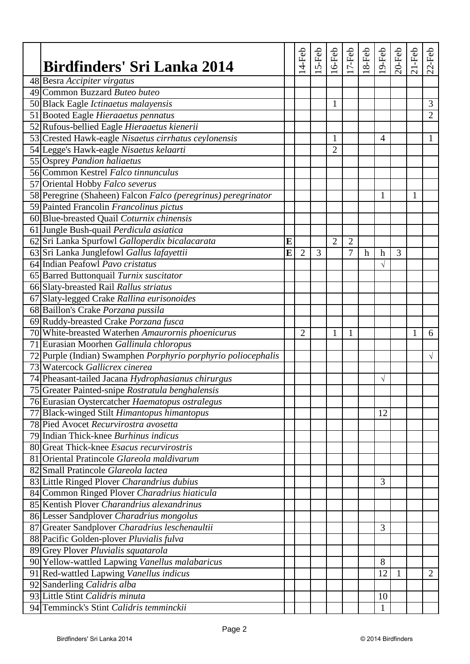| Birdfinders' Sri Lanka 2014                                   |   | 4-Feb          | $5-Feb$ | $16$ -Feb      | $17 - Feb$     | $18-Feb$    | $19$ -Feb        | $20$ -Feb | $21-Feb$     | $22-Feb$       |
|---------------------------------------------------------------|---|----------------|---------|----------------|----------------|-------------|------------------|-----------|--------------|----------------|
| 48 Besra Accipiter virgatus                                   |   |                |         |                |                |             |                  |           |              |                |
| 49 Common Buzzard Buteo buteo                                 |   |                |         |                |                |             |                  |           |              |                |
| 50 Black Eagle Ictinaetus malayensis                          |   |                |         | 1              |                |             |                  |           |              | 3              |
| 51 Booted Eagle Hieraaetus pennatus                           |   |                |         |                |                |             |                  |           |              | $\overline{2}$ |
| 52 Rufous-bellied Eagle Hieraaetus kienerii                   |   |                |         |                |                |             |                  |           |              |                |
| 53 Crested Hawk-eagle Nisaetus cirrhatus ceylonensis          |   |                |         | 1              |                |             | 4                |           |              | $\mathbf{1}$   |
| 54 Legge's Hawk-eagle Nisaetus kelaarti                       |   |                |         | $\overline{2}$ |                |             |                  |           |              |                |
| 55 Osprey Pandion haliaetus                                   |   |                |         |                |                |             |                  |           |              |                |
| 56 Common Kestrel Falco tinnunculus                           |   |                |         |                |                |             |                  |           |              |                |
| 57 Oriental Hobby Falco severus                               |   |                |         |                |                |             |                  |           |              |                |
| 58 Peregrine (Shaheen) Falcon Falco (peregrinus) peregrinator |   |                |         |                |                |             | 1                |           | 1            |                |
| 59 Painted Francolin Francolinus pictus                       |   |                |         |                |                |             |                  |           |              |                |
| 60 Blue-breasted Quail Coturnix chinensis                     |   |                |         |                |                |             |                  |           |              |                |
| 61 Jungle Bush-quail Perdicula asiatica                       |   |                |         |                |                |             |                  |           |              |                |
| 62 Sri Lanka Spurfowl Galloperdix bicalacarata                | E |                |         | $\overline{2}$ | $\overline{2}$ |             |                  |           |              |                |
| 63 Sri Lanka Junglefowl Gallus lafayettii                     | E | $\overline{2}$ | 3       |                | 7              | $\mathbf h$ | $\boldsymbol{h}$ | 3         |              |                |
| 64 Indian Peafowl Pavo cristatus                              |   |                |         |                |                |             |                  |           |              |                |
| 65 Barred Buttonquail Turnix suscitator                       |   |                |         |                |                |             |                  |           |              |                |
| 66 Slaty-breasted Rail Rallus striatus                        |   |                |         |                |                |             |                  |           |              |                |
| 67 Slaty-legged Crake Rallina eurisonoides                    |   |                |         |                |                |             |                  |           |              |                |
| 68 Baillon's Crake Porzana pussila                            |   |                |         |                |                |             |                  |           |              |                |
| 69 Ruddy-breasted Crake Porzana fusca                         |   |                |         |                |                |             |                  |           |              |                |
| 70 White-breasted Waterhen Amaurornis phoenicurus             |   | $\overline{2}$ |         | $\mathbf{1}$   | 1              |             |                  |           | $\mathbf{1}$ | 6              |
| 71 Eurasian Moorhen Gallinula chloropus                       |   |                |         |                |                |             |                  |           |              |                |
| 72 Purple (Indian) Swamphen Porphyrio porphyrio poliocephalis |   |                |         |                |                |             |                  |           |              | $\sqrt{ }$     |
| 73 Watercock Gallicrex cinerea                                |   |                |         |                |                |             |                  |           |              |                |
| 74 Pheasant-tailed Jacana Hydrophasianus chirurgus            |   |                |         |                |                |             | $\sqrt{}$        |           |              |                |
| 75 Greater Painted-snipe Rostratula benghalensis              |   |                |         |                |                |             |                  |           |              |                |
| 76 Eurasian Oystercatcher Haematopus ostralegus               |   |                |         |                |                |             |                  |           |              |                |
| 77 Black-winged Stilt Himantopus himantopus                   |   |                |         |                |                |             | 12               |           |              |                |
| 78 Pied Avocet Recurvirostra avosetta                         |   |                |         |                |                |             |                  |           |              |                |
| 79 Indian Thick-knee Burhinus indicus                         |   |                |         |                |                |             |                  |           |              |                |
| 80 Great Thick-knee Esacus recurvirostris                     |   |                |         |                |                |             |                  |           |              |                |
| 81 Oriental Pratincole Glareola maldivarum                    |   |                |         |                |                |             |                  |           |              |                |
| 82 Small Pratincole Glareola lactea                           |   |                |         |                |                |             |                  |           |              |                |
| 83 Little Ringed Plover Charandrius dubius                    |   |                |         |                |                |             | 3                |           |              |                |
| 84 Common Ringed Plover Charadrius hiaticula                  |   |                |         |                |                |             |                  |           |              |                |
| 85 Kentish Plover Charandrius alexandrinus                    |   |                |         |                |                |             |                  |           |              |                |
| 86 Lesser Sandplover Charadrius mongolus                      |   |                |         |                |                |             |                  |           |              |                |
| 87 Greater Sandplover Charadrius leschenaultii                |   |                |         |                |                |             | 3                |           |              |                |
| 88 Pacific Golden-plover Pluvialis fulva                      |   |                |         |                |                |             |                  |           |              |                |
| 89 Grey Plover Pluvialis squatarola                           |   |                |         |                |                |             |                  |           |              |                |
| 90 Yellow-wattled Lapwing Vanellus malabaricus                |   |                |         |                |                |             | 8                |           |              |                |
| 91 Red-wattled Lapwing Vanellus indicus                       |   |                |         |                |                |             | 12               | 1         |              | 2              |
| 92 Sanderling Calidris alba                                   |   |                |         |                |                |             |                  |           |              |                |
| 93 Little Stint Calidris minuta                               |   |                |         |                |                |             | 10               |           |              |                |
| 94 Temminck's Stint Calidris temminckii                       |   |                |         |                |                |             | 1                |           |              |                |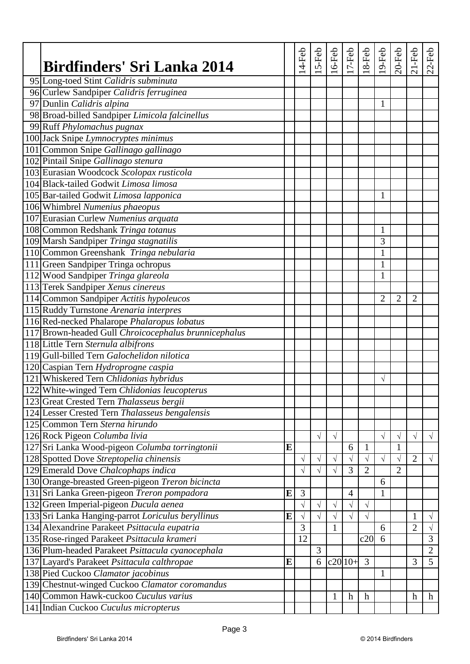| <b>Birdfinders' Sri Lanka 2014</b>                                               |   | 4-Feb     | 5-Feb     | 6-Feb        | $17-Feb$       | 8-Feb          | $19$ -Feb      | $20$ -Feb      | $21-Feb$         | $22-Feb$       |
|----------------------------------------------------------------------------------|---|-----------|-----------|--------------|----------------|----------------|----------------|----------------|------------------|----------------|
| 95 Long-toed Stint Calidris subminuta                                            |   |           |           |              |                |                |                |                |                  |                |
| 96 Curlew Sandpiper Calidris ferruginea                                          |   |           |           |              |                |                |                |                |                  |                |
| 97 Dunlin Calidris alpina                                                        |   |           |           |              |                |                | $\mathbf{1}$   |                |                  |                |
| 98 Broad-billed Sandpiper Limicola falcinellus                                   |   |           |           |              |                |                |                |                |                  |                |
| 99 Ruff Phylomachus pugnax                                                       |   |           |           |              |                |                |                |                |                  |                |
| 100 Jack Snipe Lymnocryptes minimus                                              |   |           |           |              |                |                |                |                |                  |                |
| 101 Common Snipe Gallinago gallinago                                             |   |           |           |              |                |                |                |                |                  |                |
| 102 Pintail Snipe Gallinago stenura                                              |   |           |           |              |                |                |                |                |                  |                |
| 103 Eurasian Woodcock Scolopax rusticola                                         |   |           |           |              |                |                |                |                |                  |                |
| 104 Black-tailed Godwit Limosa limosa                                            |   |           |           |              |                |                |                |                |                  |                |
| 105 Bar-tailed Godwit Limosa lapponica                                           |   |           |           |              |                |                | 1              |                |                  |                |
| 106 Whimbrel Numenius phaeopus                                                   |   |           |           |              |                |                |                |                |                  |                |
| 107 Eurasian Curlew Numenius arquata                                             |   |           |           |              |                |                |                |                |                  |                |
| 108 Common Redshank Tringa totanus                                               |   |           |           |              |                |                | $\mathbf{1}$   |                |                  |                |
| 109 Marsh Sandpiper Tringa stagnatilis                                           |   |           |           |              |                |                | 3              |                |                  |                |
| 110 Common Greenshank Tringa nebularia                                           |   |           |           |              |                |                | $\mathbf{1}$   |                |                  |                |
| 111 Green Sandpiper Tringa ochropus                                              |   |           |           |              |                |                | $\mathbf{1}$   |                |                  |                |
| 112 Wood Sandpiper Tringa glareola                                               |   |           |           |              |                |                | $\mathbf{1}$   |                |                  |                |
| 113 Terek Sandpiper Xenus cinereus                                               |   |           |           |              |                |                |                |                |                  |                |
| 114 Common Sandpiper Actitis hypoleucos                                          |   |           |           |              |                |                | $\overline{2}$ | $\overline{2}$ | $\overline{2}$   |                |
| 115 Ruddy Turnstone Arenaria interpres                                           |   |           |           |              |                |                |                |                |                  |                |
| 116 Red-necked Phalarope Phalaropus lobatus                                      |   |           |           |              |                |                |                |                |                  |                |
| 117 Brown-headed Gull Chroicocephalus brunnicephalus                             |   |           |           |              |                |                |                |                |                  |                |
| 118 Little Tern Sternula albifrons                                               |   |           |           |              |                |                |                |                |                  |                |
| 119 Gull-billed Tern Galochelidon nilotica                                       |   |           |           |              |                |                |                |                |                  |                |
| 120 Caspian Tern Hydroprogne caspia                                              |   |           |           |              |                |                |                |                |                  |                |
| 121 Whiskered Tern Chlidonias hybridus                                           |   |           |           |              |                |                |                |                |                  |                |
| 122 White-winged Tern Chlidonias leucopterus                                     |   |           |           |              |                |                | $\sqrt{}$      |                |                  |                |
|                                                                                  |   |           |           |              |                |                |                |                |                  |                |
| 123 Great Crested Tern Thalasseus bergii                                         |   |           |           |              |                |                |                |                |                  |                |
| 124 Lesser Crested Tern Thalasseus bengalensis<br>125 Common Tern Sterna hirundo |   |           |           |              |                |                |                |                |                  |                |
|                                                                                  |   |           |           |              |                |                |                |                |                  |                |
| 126 Rock Pigeon Columba livia                                                    |   |           | $\sqrt{}$ | $\sqrt{}$    |                |                | $\sqrt{}$      | $\sqrt{}$      | $\sqrt{}$        | $\sqrt{ }$     |
| 127 Sri Lanka Wood-pigeon Columba torringtonii                                   | E |           |           |              | 6              | 1              |                | 1              |                  |                |
| 128 Spotted Dove Streptopelia chinensis                                          |   | $\sqrt{}$ | $\sqrt{}$ | $\sqrt{}$    | V              | $\sqrt{ }$     | $\sqrt{}$      | $\sqrt{}$      | $\overline{2}$   | $\sqrt{ }$     |
| 129 Emerald Dove Chalcophaps indica                                              |   | $\sqrt{}$ | $\sqrt{}$ | $\sqrt{}$    | 3              | $\overline{2}$ |                | $\overline{2}$ |                  |                |
| 130 Orange-breasted Green-pigeon Treron bicincta                                 |   |           |           |              |                |                | 6              |                |                  |                |
| 131 Sri Lanka Green-pigeon Treron pompadora                                      | E | 3         |           |              | $\overline{4}$ |                | $\mathbf{1}$   |                |                  |                |
| 132 Green Imperial-pigeon Ducula aenea                                           |   | $\sqrt{}$ | $\sqrt{}$ | $\sqrt{}$    | $\sqrt{}$      | $\sqrt{ }$     |                |                |                  |                |
| 133 Sri Lanka Hanging-parrot Loriculus beryllinus                                | E | $\sqrt{}$ | $\sqrt{}$ | $\sqrt{}$    | V              | $\sqrt{ }$     |                |                | 1                | $\sqrt{}$      |
| 134 Alexandrine Parakeet Psittacula eupatria                                     |   | 3         |           | $\mathbf{1}$ |                |                | 6              |                | $\overline{2}$   | $\sqrt{}$      |
| 135 Rose-ringed Parakeet Psittacula krameri                                      |   | 12        |           |              |                | c20            | 6              |                |                  | 3              |
| 136 Plum-headed Parakeet Psittacula cyanocephala                                 |   |           | 3         |              |                |                |                |                |                  | $\overline{2}$ |
| 137 Layard's Parakeet Psittacula calthropae                                      | E |           | 6         |              | $c20 10+$      | $\overline{3}$ |                |                | 3                | 5              |
| 138 Pied Cuckoo Clamator jacobinus                                               |   |           |           |              |                |                | 1              |                |                  |                |
| 139 Chestnut-winged Cuckoo Clamator coromandus                                   |   |           |           |              |                |                |                |                |                  |                |
| 140 Common Hawk-cuckoo Cuculus varius                                            |   |           |           | 1            | $\mathbf h$    | h              |                |                | $\boldsymbol{h}$ | h              |
| 141 Indian Cuckoo Cuculus micropterus                                            |   |           |           |              |                |                |                |                |                  |                |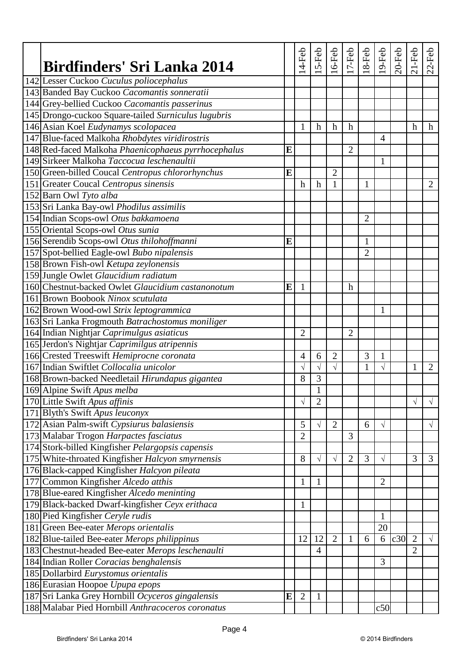| Birdfinders' Sri Lanka 2014                         |           | 4-Feb          | 5-Feb          | $16$ -Feb      | $\frac{1}{7}$ -Feb | $18-Feb$       | $19-Feb$       | $20$ -Feb | $21-Feb$                  | $22-Feb$       |
|-----------------------------------------------------|-----------|----------------|----------------|----------------|--------------------|----------------|----------------|-----------|---------------------------|----------------|
| 142 Lesser Cuckoo Cuculus poliocephalus             |           |                |                |                |                    |                |                |           |                           |                |
| 143 Banded Bay Cuckoo Cacomantis sonneratii         |           |                |                |                |                    |                |                |           |                           |                |
| 144 Grey-bellied Cuckoo Cacomantis passerinus       |           |                |                |                |                    |                |                |           |                           |                |
| 145 Drongo-cuckoo Square-tailed Surniculus lugubris |           |                |                |                |                    |                |                |           |                           |                |
| 146 Asian Koel Eudynamys scolopacea                 |           | 1              | $\mathbf h$    | h              | $\boldsymbol{h}$   |                |                |           | $\boldsymbol{\mathrm{h}}$ | h              |
| 147 Blue-faced Malkoha Rhobdytes viridirostris      |           |                |                |                |                    |                | $\overline{4}$ |           |                           |                |
| 148 Red-faced Malkoha Phaenicophaeus pyrrhocephalus | E         |                |                |                | $\overline{2}$     |                |                |           |                           |                |
| 149 Sirkeer Malkoha Taccocua leschenaultii          |           |                |                |                |                    |                | 1              |           |                           |                |
| 150 Green-billed Coucal Centropus chlororhynchus    | E         |                |                | $\overline{2}$ |                    |                |                |           |                           |                |
| 151 Greater Coucal Centropus sinensis               |           | h              | $\mathbf h$    | $\mathbf{1}$   |                    | 1              |                |           |                           | 2              |
| 152 Barn Owl Tyto alba                              |           |                |                |                |                    |                |                |           |                           |                |
| 153 Sri Lanka Bay-owl Phodilus assimilis            |           |                |                |                |                    |                |                |           |                           |                |
| 154 Indian Scops-owl Otus bakkamoena                |           |                |                |                |                    | $\overline{2}$ |                |           |                           |                |
| 155 Oriental Scops-owl Otus sunia                   |           |                |                |                |                    |                |                |           |                           |                |
| 156 Serendib Scops-owl Otus thilohoffmanni          | E         |                |                |                |                    | 1              |                |           |                           |                |
| 157 Spot-bellied Eagle-owl Bubo nipalensis          |           |                |                |                |                    | $\overline{2}$ |                |           |                           |                |
| 158 Brown Fish-owl Ketupa zeylonensis               |           |                |                |                |                    |                |                |           |                           |                |
| 159 Jungle Owlet Glaucidium radiatum                |           |                |                |                |                    |                |                |           |                           |                |
| 160 Chestnut-backed Owlet Glaucidium castanonotum   | E         | $\mathbf{1}$   |                |                | $\boldsymbol{h}$   |                |                |           |                           |                |
| 161 Brown Boobook Ninox scutulata                   |           |                |                |                |                    |                |                |           |                           |                |
| 162 Brown Wood-owl Strix leptogrammica              |           |                |                |                |                    |                | 1              |           |                           |                |
| 163 Sri Lanka Frogmouth Batrachostomus moniliger    |           |                |                |                |                    |                |                |           |                           |                |
| 164 Indian Nightjar Caprimulgus asiaticus           |           | $\overline{2}$ |                |                | $\overline{2}$     |                |                |           |                           |                |
| 165 Jerdon's Nightjar Caprimilgus atripennis        |           |                |                |                |                    |                |                |           |                           |                |
| 166 Crested Treeswift Hemiprocne coronata           |           | $\overline{4}$ | 6              | $\overline{2}$ |                    | 3              | $\mathbf{1}$   |           |                           |                |
| 167 Indian Swiftlet Collocalia unicolor             |           | $\sqrt{ }$     | $\sqrt{}$      | $\sqrt{ }$     |                    | $\mathbf{1}$   | $\sqrt{ }$     |           | 1                         | $\overline{2}$ |
|                                                     |           | 8              | 3              |                |                    |                |                |           |                           |                |
| 168 Brown-backed Needletail Hirundapus gigantea     |           |                | $\mathbf{1}$   |                |                    |                |                |           |                           |                |
| 169 Alpine Swift Apus melba                         |           |                |                |                |                    |                |                |           |                           |                |
| 170 Little Swift Apus affinis                       |           | $\sqrt{}$      | $\overline{2}$ |                |                    |                |                |           | $\sqrt{}$                 | $\sqrt{}$      |
| 171 Blyth's Swift Apus leuconyx                     |           |                |                |                |                    |                |                |           |                           |                |
| 172 Asian Palm-swift Cypsiurus balasiensis          |           | 5              | $\sqrt{}$      | $\mathbf{2}$   |                    | 6              | $\sqrt{}$      |           |                           | $\sqrt{ }$     |
| 173 Malabar Trogon Harpactes fasciatus              |           | $\overline{2}$ |                |                | 3                  |                |                |           |                           |                |
| 174 Stork-billed Kingfisher Pelargopsis capensis    |           |                |                |                |                    |                |                |           |                           |                |
| 175 White-throated Kingfisher Halcyon smyrnensis    |           | 8              | $\sqrt{}$      | $\sqrt{}$      | $\overline{2}$     | 3              | $\sqrt{}$      |           | 3                         | 3              |
| 176 Black-capped Kingfisher Halcyon pileata         |           |                |                |                |                    |                |                |           |                           |                |
| 177 Common Kingfisher Alcedo atthis                 |           | $\mathbf{1}$   | 1              |                |                    |                | $\overline{2}$ |           |                           |                |
| 178 Blue-eared Kingfisher Alcedo meninting          |           |                |                |                |                    |                |                |           |                           |                |
| 179 Black-backed Dwarf-kingfisher Ceyx erithaca     |           | $\mathbf{1}$   |                |                |                    |                |                |           |                           |                |
| 180 Pied Kingfisher Ceryle rudis                    |           |                |                |                |                    |                | 1              |           |                           |                |
| 181 Green Bee-eater Merops orientalis               |           |                |                |                |                    |                | 20             |           |                           |                |
| 182 Blue-tailed Bee-eater Merops philippinus        |           | 12             | 12             | $\overline{2}$ | 1                  | 6              | 6              | c30       | $\overline{2}$            | $\sqrt{ }$     |
| 183 Chestnut-headed Bee-eater Merops leschenaulti   |           |                | $\overline{4}$ |                |                    |                |                |           | $\overline{2}$            |                |
| 184 Indian Roller Coracias benghalensis             |           |                |                |                |                    |                | 3              |           |                           |                |
| 185 Dollarbird Eurystomus orientalis                |           |                |                |                |                    |                |                |           |                           |                |
| 186 Eurasian Hoopoe Upupa epops                     |           |                |                |                |                    |                |                |           |                           |                |
| 187 Sri Lanka Grey Hornbill Ocyceros gingalensis    | ${\bf E}$ | $\overline{2}$ | 1              |                |                    |                |                |           |                           |                |
| 188 Malabar Pied Hornbill Anthracoceros coronatus   |           |                |                |                |                    |                | c50            |           |                           |                |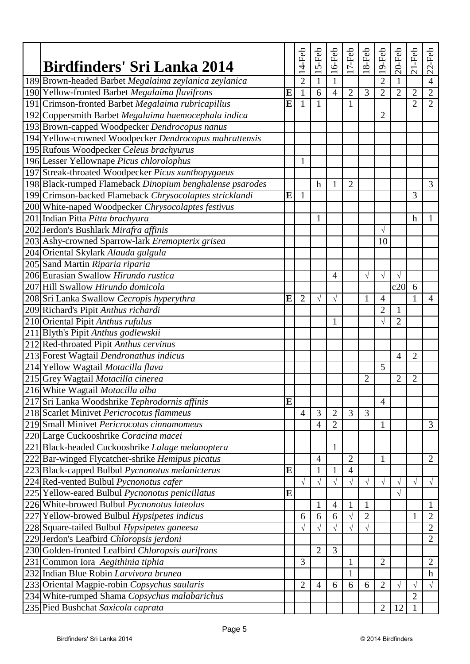| Birdfinders' Sri Lanka 2014                              |   | $14-Feb$       | 5-Feb          | $16-Feb$       | $17-Feb$       | $18-Feb$       | 19-Feb         | $20$ -Feb      | $21-Feb$         | $22-Feb$         |
|----------------------------------------------------------|---|----------------|----------------|----------------|----------------|----------------|----------------|----------------|------------------|------------------|
| 189 Brown-headed Barbet Megalaima zeylanica zeylanica    |   | $\overline{2}$ | $\mathbf{1}$   | $\mathbf{1}$   |                |                | $\overline{2}$ |                |                  | $\overline{4}$   |
| 190 Yellow-fronted Barbet Megalaima flavifrons           | E | $\mathbf{1}$   | 6              | $\overline{4}$ | $\overline{2}$ | 3              | $\overline{2}$ | $\overline{2}$ | $\overline{2}$   | $\overline{2}$   |
| 191 Crimson-fronted Barbet Megalaima rubricapillus       | E | 1              | 1              |                | 1              |                |                |                | $\overline{2}$   | $\overline{2}$   |
| 192 Coppersmith Barbet Megalaima haemocephala indica     |   |                |                |                |                |                | $\overline{2}$ |                |                  |                  |
| 193 Brown-capped Woodpecker Dendrocopus nanus            |   |                |                |                |                |                |                |                |                  |                  |
| 194 Yellow-crowned Woodpecker Dendrocopus mahrattensis   |   |                |                |                |                |                |                |                |                  |                  |
| 195 Rufous Woodpecker Celeus brachyurus                  |   |                |                |                |                |                |                |                |                  |                  |
| 196 Lesser Yellownape Picus chlorolophus                 |   | 1              |                |                |                |                |                |                |                  |                  |
| 197 Streak-throated Woodpecker Picus xanthopygaeus       |   |                |                |                |                |                |                |                |                  |                  |
| 198 Black-rumped Flameback Dinopium benghalense psarodes |   |                | $\mathbf h$    | 1              | $\overline{2}$ |                |                |                |                  | 3                |
| 199 Crimson-backed Flameback Chrysocolaptes stricklandi  | E | $\mathbf{1}$   |                |                |                |                |                |                | 3                |                  |
| 200 White-naped Woodpecker Chrysocolaptes festivus       |   |                |                |                |                |                |                |                |                  |                  |
| 201 Indian Pitta Pitta brachyura                         |   |                | 1              |                |                |                |                |                | $\boldsymbol{h}$ | 1                |
| 202 Jerdon's Bushlark Mirafra affinis                    |   |                |                |                |                |                | $\sqrt{}$      |                |                  |                  |
| 203 Ashy-crowned Sparrow-lark Eremopterix grisea         |   |                |                |                |                |                | 10             |                |                  |                  |
| 204 Oriental Skylark Alauda gulgula                      |   |                |                |                |                |                |                |                |                  |                  |
| 205 Sand Martin Riparia riparia                          |   |                |                |                |                |                |                |                |                  |                  |
| 206 Eurasian Swallow Hirundo rustica                     |   |                |                | $\overline{4}$ |                | $\sqrt{ }$     | $\sqrt{ }$     | $\sqrt{ }$     |                  |                  |
| 207 Hill Swallow Hirundo domicola                        |   |                |                |                |                |                |                | c20            | 6                |                  |
| 208 Sri Lanka Swallow Cecropis hyperythra                | E | $\overline{2}$ | $\sqrt{}$      | $\sqrt{ }$     |                | $\mathbf{1}$   | $\overline{4}$ |                | $\mathbf{1}$     | $\overline{4}$   |
| 209 Richard's Pipit Anthus richardi                      |   |                |                |                |                |                | $\overline{2}$ | 1              |                  |                  |
| 210 Oriental Pipit Anthus rufulus                        |   |                |                | $\mathbf{1}$   |                |                | $\sqrt{}$      | $\overline{2}$ |                  |                  |
| 211 Blyth's Pipit Anthus godlewskii                      |   |                |                |                |                |                |                |                |                  |                  |
| 212 Red-throated Pipit Anthus cervinus                   |   |                |                |                |                |                |                |                |                  |                  |
| 213 Forest Wagtail Dendronathus indicus                  |   |                |                |                |                |                |                | $\overline{4}$ | 2                |                  |
| 214 Yellow Wagtail Motacilla flava                       |   |                |                |                |                |                | 5              |                |                  |                  |
| 215 Grey Wagtail Motacilla cinerea                       |   |                |                |                |                | $\overline{2}$ |                | $\overline{2}$ | 2                |                  |
| 216 White Wagtail Motacilla alba                         |   |                |                |                |                |                |                |                |                  |                  |
| 217 Sri Lanka Woodshrike Tephrodornis affinis            | E |                |                |                |                |                | $\overline{4}$ |                |                  |                  |
| 218 Scarlet Minivet Pericrocotus flammeus                |   | $\overline{4}$ | 3              | $\overline{2}$ | 3              | 3              |                |                |                  |                  |
| 219 Small Minivet Pericrocotus cinnamomeus               |   |                | $\overline{4}$ | $\overline{2}$ |                |                | $\mathbf{1}$   |                |                  | 3                |
| 220 Large Cuckooshrike Coracina macei                    |   |                |                |                |                |                |                |                |                  |                  |
| 221 Black-headed Cuckooshrike Lalage melanoptera         |   |                |                | $\mathbf{1}$   |                |                |                |                |                  |                  |
| 222 Bar-winged Flycatcher-shrike Hemipus picatus         |   |                | $\overline{4}$ |                | $\overline{2}$ |                | $\mathbf{1}$   |                |                  | $\overline{2}$   |
| 223 Black-capped Bulbul Pycnonotus melanicterus          | E |                | $\mathbf{1}$   | $\mathbf{1}$   | $\overline{4}$ |                |                |                |                  |                  |
| 224 Red-vented Bulbul Pycnonotus cafer                   |   | $\sqrt{ }$     | $\sqrt{}$      | $\sqrt{}$      | $\sqrt{}$      | $\sqrt{ }$     | $\sqrt{}$      | $\sqrt{}$      | $\sqrt{}$        | $\sqrt{}$        |
| 225 Yellow-eared Bulbul Pycnonotus penicillatus          | E |                |                |                |                |                |                | $\sqrt{}$      |                  |                  |
| 226 White-browed Bulbul Pycnonotus luteolus              |   |                | $\mathbf{1}$   | $\overline{4}$ | $\mathbf 1$    | $\mathbf{1}$   |                |                |                  | $\mathbf{1}$     |
| 227 Yellow-browed Bulbul Hypsipetes indicus              |   | 6              | 6              | 6              | $\sqrt{}$      | $\overline{2}$ |                |                | 1                | $\overline{2}$   |
| 228 Square-tailed Bulbul Hypsipetes ganeesa              |   | $\sqrt{}$      | $\sqrt{}$      | $\sqrt{}$      | V              | $\sqrt{ }$     |                |                |                  | $\overline{2}$   |
| 229 Jerdon's Leafbird Chloropsis jerdoni                 |   |                |                |                |                |                |                |                |                  | $\overline{2}$   |
| 230 Golden-fronted Leafbird Chloropsis aurifrons         |   |                | $\overline{2}$ | 3              |                |                |                |                |                  |                  |
| 231 Common Iora Aegithinia tiphia                        |   | 3              |                |                | 1              |                | $\overline{2}$ |                |                  | $\overline{2}$   |
| 232 Indian Blue Robin Larvivora brunea                   |   |                |                |                | 1              |                |                |                |                  | $\boldsymbol{h}$ |
| 233 Oriental Magpie-robin Copsychus saularis             |   | $\overline{2}$ | $\overline{4}$ | 6              | 6              | 6              | $\mathbf{2}$   | $\sqrt{}$      | $\sqrt{}$        | $\sqrt{ }$       |
| 234 White-rumped Shama Copsychus malabarichus            |   |                |                |                |                |                |                |                | $\overline{2}$   |                  |
| 235 Pied Bushchat Saxicola caprata                       |   |                |                |                |                |                | $\overline{2}$ | 12             | $\mathbf{1}$     |                  |
|                                                          |   |                |                |                |                |                |                |                |                  |                  |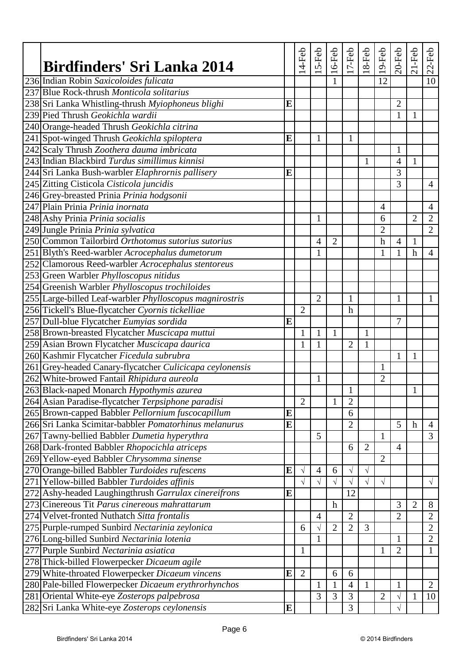| 236 Indian Robin Saxicoloides fulicata<br>12<br>10<br>237 Blue Rock-thrush Monticola solitarius<br>238 Sri Lanka Whistling-thrush Myiophoneus blighi<br>E<br>$\overline{2}$<br>239 Pied Thrush Geokichla wardii<br>$\mathbf{1}$<br>1<br>240 Orange-headed Thrush Geokichla citrina<br>241 Spot-winged Thrush Geokichla spiloptera<br>E<br>$\mathbf{1}$<br>1<br>242 Scaly Thrush Zoothera dauma imbricata<br>1<br>243 Indian Blackbird Turdus simillimus kinnisi<br>1<br>4<br>1<br>244 Sri Lanka Bush-warbler Elaphrornis pallisery<br>3<br>E<br>245 Zitting Cisticola Cisticola juncidis<br>3<br>$\overline{4}$<br>246 Grey-breasted Prinia Prinia hodgsonii<br>247 Plain Prinia Prinia inornata<br>$\overline{4}$<br>$\overline{4}$<br>248 Ashy Prinia Prinia socialis<br>$\overline{2}$<br>$\overline{2}$<br>1<br>6<br>$\overline{2}$<br>249 Jungle Prinia Prinia sylvatica<br>$\overline{2}$<br>250 Common Tailorbird Orthotomus sutorius sutorius<br>$\overline{2}$<br>$\mathbf h$<br>$\overline{4}$<br>$\overline{4}$<br>1<br>251 Blyth's Reed-warbler Acrocephalus dumetorum<br>1<br>1<br>1<br>$\mathbf h$<br>$\overline{4}$<br>252 Clamorous Reed-warbler Acrocephalus stentoreus<br>253 Green Warbler Phylloscopus nitidus<br>254 Greenish Warbler Phylloscopus trochiloides<br>255 Large-billed Leaf-warbler Phylloscopus magnirostris<br>$\overline{2}$<br>1<br>1<br>1<br>256 Tickell's Blue-flycatcher Cyornis tickelliae<br>$\overline{2}$<br>$\mathbf h$<br>257 Dull-blue Flycatcher Eumyias sordida<br>E<br>7<br>258 Brown-breasted Flycatcher Muscicapa muttui<br>$\mathbf{1}$<br>$\mathbf{1}$<br>$\mathbf{1}$<br>$\mathbf{1}$<br>259 Asian Brown Flycatcher Muscicapa daurica<br>$\overline{2}$<br>$\mathbf{1}$<br>1<br>1<br>260 Kashmir Flycatcher Ficedula subrubra<br>$\mathbf{1}$<br>1<br>261 Grey-headed Canary-flycatcher Culicicapa ceylonensis<br>$\mathbf{1}$<br>262 White-browed Fantail Rhipidura aureola<br>$\overline{2}$<br>1<br>263 Black-naped Monarch Hypothymis azurea<br>1<br>1<br>264 Asian Paradise-flycatcher Terpsiphone paradisi<br>$\overline{2}$<br>$\overline{2}$<br>265 Brown-capped Babbler Pellornium fuscocapillum<br>6<br>E<br>266 Sri Lanka Scimitar-babbler Pomatorhinus melanurus<br>E<br>$\overline{2}$<br>5<br>$\boldsymbol{h}$<br>$\overline{4}$<br>$\overline{3}$<br>267 Tawny-bellied Babbler Dumetia hyperythra<br>5<br>$\mathbf{1}$<br>268 Dark-fronted Babbler Rhopocichla atriceps<br>6<br>$\overline{2}$<br>$\overline{4}$<br>269 Yellow-eyed Babbler Chrysomma sinense<br>$\overline{2}$<br>270 Orange-billed Babbler Turdoides rufescens<br>E<br>$\sqrt{}$<br>$\overline{4}$<br>6<br>$\sqrt{ }$<br>V<br>271 Yellow-billed Babbler Turdoides affinis<br>$\sqrt{}$<br>$\sqrt{}$<br>$\sqrt{}$<br>$\sqrt{}$<br>$\sqrt{}$<br>$\sqrt{}$<br>$\sqrt{}$<br>272 Ashy-headed Laughingthrush Garrulax cinereifrons<br>12<br>E<br>273 Cinereous Tit Parus cinereous mahrattarum<br>3<br>$\overline{2}$<br>$\boldsymbol{h}$<br>8<br>274 Velvet-fronted Nuthatch Sitta frontalis<br>$\overline{2}$<br>$\overline{2}$<br>2<br>$\overline{4}$<br>$\overline{2}$<br>$\overline{2}$<br>3<br>$\overline{2}$<br>275 Purple-rumped Sunbird Nectarinia zeylonica<br>6<br>$\sqrt{}$<br>276 Long-billed Sunbird Nectarinia lotenia<br>$\overline{2}$<br>1<br>1<br>277 Purple Sunbird Nectarinia asiatica<br>$\overline{2}$<br>$\mathbf{1}$<br>$\mathbf{1}$<br>$\mathbf{1}$<br>278 Thick-billed Flowerpecker Dicaeum agile<br>279 White-throated Flowerpecker Dicaeum vincens<br>$\overline{2}$<br>E<br>6<br>6<br>280 Pale-billed Flowerpecker Dicaeum erythrorhynchos<br>$\overline{4}$<br>$\overline{2}$<br>$\mathbf{1}$<br>$\mathbf{1}$<br>1<br>1<br>281 Oriental White-eye Zosterops palpebrosa<br>3<br>3<br>3<br>$\overline{2}$<br>10<br>$\mathbf{1}$<br>V<br>3<br>282 Sri Lanka White-eye Zosterops ceylonensis<br>E | Birdfinders' Sri Lanka 2014 | 4-Feb | 5-Feb | $16-Feb$ | $17-Feb$ | $18-Feb$ | $19$ -Feb | $20$ -Feb | $21-Feb$ | $22-Feb$ |
|-----------------------------------------------------------------------------------------------------------------------------------------------------------------------------------------------------------------------------------------------------------------------------------------------------------------------------------------------------------------------------------------------------------------------------------------------------------------------------------------------------------------------------------------------------------------------------------------------------------------------------------------------------------------------------------------------------------------------------------------------------------------------------------------------------------------------------------------------------------------------------------------------------------------------------------------------------------------------------------------------------------------------------------------------------------------------------------------------------------------------------------------------------------------------------------------------------------------------------------------------------------------------------------------------------------------------------------------------------------------------------------------------------------------------------------------------------------------------------------------------------------------------------------------------------------------------------------------------------------------------------------------------------------------------------------------------------------------------------------------------------------------------------------------------------------------------------------------------------------------------------------------------------------------------------------------------------------------------------------------------------------------------------------------------------------------------------------------------------------------------------------------------------------------------------------------------------------------------------------------------------------------------------------------------------------------------------------------------------------------------------------------------------------------------------------------------------------------------------------------------------------------------------------------------------------------------------------------------------------------------------------------------------------------------------------------------------------------------------------------------------------------------------------------------------------------------------------------------------------------------------------------------------------------------------------------------------------------------------------------------------------------------------------------------------------------------------------------------------------------------------------------------------------------------------------------------------------------------------------------------------------------------------------------------------------------------------------------------------------------------------------------------------------------------------------------------------------------------------------------------------------------------------------------------------------------------------------------------------------------------------------------------------------------------------------------------------------------------------------------------------------------------------------------------------------------------------------------------------------------|-----------------------------|-------|-------|----------|----------|----------|-----------|-----------|----------|----------|
|                                                                                                                                                                                                                                                                                                                                                                                                                                                                                                                                                                                                                                                                                                                                                                                                                                                                                                                                                                                                                                                                                                                                                                                                                                                                                                                                                                                                                                                                                                                                                                                                                                                                                                                                                                                                                                                                                                                                                                                                                                                                                                                                                                                                                                                                                                                                                                                                                                                                                                                                                                                                                                                                                                                                                                                                                                                                                                                                                                                                                                                                                                                                                                                                                                                                                                                                                                                                                                                                                                                                                                                                                                                                                                                                                                                                                                                                 |                             |       |       |          |          |          |           |           |          |          |
|                                                                                                                                                                                                                                                                                                                                                                                                                                                                                                                                                                                                                                                                                                                                                                                                                                                                                                                                                                                                                                                                                                                                                                                                                                                                                                                                                                                                                                                                                                                                                                                                                                                                                                                                                                                                                                                                                                                                                                                                                                                                                                                                                                                                                                                                                                                                                                                                                                                                                                                                                                                                                                                                                                                                                                                                                                                                                                                                                                                                                                                                                                                                                                                                                                                                                                                                                                                                                                                                                                                                                                                                                                                                                                                                                                                                                                                                 |                             |       |       |          |          |          |           |           |          |          |
|                                                                                                                                                                                                                                                                                                                                                                                                                                                                                                                                                                                                                                                                                                                                                                                                                                                                                                                                                                                                                                                                                                                                                                                                                                                                                                                                                                                                                                                                                                                                                                                                                                                                                                                                                                                                                                                                                                                                                                                                                                                                                                                                                                                                                                                                                                                                                                                                                                                                                                                                                                                                                                                                                                                                                                                                                                                                                                                                                                                                                                                                                                                                                                                                                                                                                                                                                                                                                                                                                                                                                                                                                                                                                                                                                                                                                                                                 |                             |       |       |          |          |          |           |           |          |          |
|                                                                                                                                                                                                                                                                                                                                                                                                                                                                                                                                                                                                                                                                                                                                                                                                                                                                                                                                                                                                                                                                                                                                                                                                                                                                                                                                                                                                                                                                                                                                                                                                                                                                                                                                                                                                                                                                                                                                                                                                                                                                                                                                                                                                                                                                                                                                                                                                                                                                                                                                                                                                                                                                                                                                                                                                                                                                                                                                                                                                                                                                                                                                                                                                                                                                                                                                                                                                                                                                                                                                                                                                                                                                                                                                                                                                                                                                 |                             |       |       |          |          |          |           |           |          |          |
|                                                                                                                                                                                                                                                                                                                                                                                                                                                                                                                                                                                                                                                                                                                                                                                                                                                                                                                                                                                                                                                                                                                                                                                                                                                                                                                                                                                                                                                                                                                                                                                                                                                                                                                                                                                                                                                                                                                                                                                                                                                                                                                                                                                                                                                                                                                                                                                                                                                                                                                                                                                                                                                                                                                                                                                                                                                                                                                                                                                                                                                                                                                                                                                                                                                                                                                                                                                                                                                                                                                                                                                                                                                                                                                                                                                                                                                                 |                             |       |       |          |          |          |           |           |          |          |
|                                                                                                                                                                                                                                                                                                                                                                                                                                                                                                                                                                                                                                                                                                                                                                                                                                                                                                                                                                                                                                                                                                                                                                                                                                                                                                                                                                                                                                                                                                                                                                                                                                                                                                                                                                                                                                                                                                                                                                                                                                                                                                                                                                                                                                                                                                                                                                                                                                                                                                                                                                                                                                                                                                                                                                                                                                                                                                                                                                                                                                                                                                                                                                                                                                                                                                                                                                                                                                                                                                                                                                                                                                                                                                                                                                                                                                                                 |                             |       |       |          |          |          |           |           |          |          |
|                                                                                                                                                                                                                                                                                                                                                                                                                                                                                                                                                                                                                                                                                                                                                                                                                                                                                                                                                                                                                                                                                                                                                                                                                                                                                                                                                                                                                                                                                                                                                                                                                                                                                                                                                                                                                                                                                                                                                                                                                                                                                                                                                                                                                                                                                                                                                                                                                                                                                                                                                                                                                                                                                                                                                                                                                                                                                                                                                                                                                                                                                                                                                                                                                                                                                                                                                                                                                                                                                                                                                                                                                                                                                                                                                                                                                                                                 |                             |       |       |          |          |          |           |           |          |          |
|                                                                                                                                                                                                                                                                                                                                                                                                                                                                                                                                                                                                                                                                                                                                                                                                                                                                                                                                                                                                                                                                                                                                                                                                                                                                                                                                                                                                                                                                                                                                                                                                                                                                                                                                                                                                                                                                                                                                                                                                                                                                                                                                                                                                                                                                                                                                                                                                                                                                                                                                                                                                                                                                                                                                                                                                                                                                                                                                                                                                                                                                                                                                                                                                                                                                                                                                                                                                                                                                                                                                                                                                                                                                                                                                                                                                                                                                 |                             |       |       |          |          |          |           |           |          |          |
|                                                                                                                                                                                                                                                                                                                                                                                                                                                                                                                                                                                                                                                                                                                                                                                                                                                                                                                                                                                                                                                                                                                                                                                                                                                                                                                                                                                                                                                                                                                                                                                                                                                                                                                                                                                                                                                                                                                                                                                                                                                                                                                                                                                                                                                                                                                                                                                                                                                                                                                                                                                                                                                                                                                                                                                                                                                                                                                                                                                                                                                                                                                                                                                                                                                                                                                                                                                                                                                                                                                                                                                                                                                                                                                                                                                                                                                                 |                             |       |       |          |          |          |           |           |          |          |
|                                                                                                                                                                                                                                                                                                                                                                                                                                                                                                                                                                                                                                                                                                                                                                                                                                                                                                                                                                                                                                                                                                                                                                                                                                                                                                                                                                                                                                                                                                                                                                                                                                                                                                                                                                                                                                                                                                                                                                                                                                                                                                                                                                                                                                                                                                                                                                                                                                                                                                                                                                                                                                                                                                                                                                                                                                                                                                                                                                                                                                                                                                                                                                                                                                                                                                                                                                                                                                                                                                                                                                                                                                                                                                                                                                                                                                                                 |                             |       |       |          |          |          |           |           |          |          |
|                                                                                                                                                                                                                                                                                                                                                                                                                                                                                                                                                                                                                                                                                                                                                                                                                                                                                                                                                                                                                                                                                                                                                                                                                                                                                                                                                                                                                                                                                                                                                                                                                                                                                                                                                                                                                                                                                                                                                                                                                                                                                                                                                                                                                                                                                                                                                                                                                                                                                                                                                                                                                                                                                                                                                                                                                                                                                                                                                                                                                                                                                                                                                                                                                                                                                                                                                                                                                                                                                                                                                                                                                                                                                                                                                                                                                                                                 |                             |       |       |          |          |          |           |           |          |          |
|                                                                                                                                                                                                                                                                                                                                                                                                                                                                                                                                                                                                                                                                                                                                                                                                                                                                                                                                                                                                                                                                                                                                                                                                                                                                                                                                                                                                                                                                                                                                                                                                                                                                                                                                                                                                                                                                                                                                                                                                                                                                                                                                                                                                                                                                                                                                                                                                                                                                                                                                                                                                                                                                                                                                                                                                                                                                                                                                                                                                                                                                                                                                                                                                                                                                                                                                                                                                                                                                                                                                                                                                                                                                                                                                                                                                                                                                 |                             |       |       |          |          |          |           |           |          |          |
|                                                                                                                                                                                                                                                                                                                                                                                                                                                                                                                                                                                                                                                                                                                                                                                                                                                                                                                                                                                                                                                                                                                                                                                                                                                                                                                                                                                                                                                                                                                                                                                                                                                                                                                                                                                                                                                                                                                                                                                                                                                                                                                                                                                                                                                                                                                                                                                                                                                                                                                                                                                                                                                                                                                                                                                                                                                                                                                                                                                                                                                                                                                                                                                                                                                                                                                                                                                                                                                                                                                                                                                                                                                                                                                                                                                                                                                                 |                             |       |       |          |          |          |           |           |          |          |
|                                                                                                                                                                                                                                                                                                                                                                                                                                                                                                                                                                                                                                                                                                                                                                                                                                                                                                                                                                                                                                                                                                                                                                                                                                                                                                                                                                                                                                                                                                                                                                                                                                                                                                                                                                                                                                                                                                                                                                                                                                                                                                                                                                                                                                                                                                                                                                                                                                                                                                                                                                                                                                                                                                                                                                                                                                                                                                                                                                                                                                                                                                                                                                                                                                                                                                                                                                                                                                                                                                                                                                                                                                                                                                                                                                                                                                                                 |                             |       |       |          |          |          |           |           |          |          |
|                                                                                                                                                                                                                                                                                                                                                                                                                                                                                                                                                                                                                                                                                                                                                                                                                                                                                                                                                                                                                                                                                                                                                                                                                                                                                                                                                                                                                                                                                                                                                                                                                                                                                                                                                                                                                                                                                                                                                                                                                                                                                                                                                                                                                                                                                                                                                                                                                                                                                                                                                                                                                                                                                                                                                                                                                                                                                                                                                                                                                                                                                                                                                                                                                                                                                                                                                                                                                                                                                                                                                                                                                                                                                                                                                                                                                                                                 |                             |       |       |          |          |          |           |           |          |          |
|                                                                                                                                                                                                                                                                                                                                                                                                                                                                                                                                                                                                                                                                                                                                                                                                                                                                                                                                                                                                                                                                                                                                                                                                                                                                                                                                                                                                                                                                                                                                                                                                                                                                                                                                                                                                                                                                                                                                                                                                                                                                                                                                                                                                                                                                                                                                                                                                                                                                                                                                                                                                                                                                                                                                                                                                                                                                                                                                                                                                                                                                                                                                                                                                                                                                                                                                                                                                                                                                                                                                                                                                                                                                                                                                                                                                                                                                 |                             |       |       |          |          |          |           |           |          |          |
|                                                                                                                                                                                                                                                                                                                                                                                                                                                                                                                                                                                                                                                                                                                                                                                                                                                                                                                                                                                                                                                                                                                                                                                                                                                                                                                                                                                                                                                                                                                                                                                                                                                                                                                                                                                                                                                                                                                                                                                                                                                                                                                                                                                                                                                                                                                                                                                                                                                                                                                                                                                                                                                                                                                                                                                                                                                                                                                                                                                                                                                                                                                                                                                                                                                                                                                                                                                                                                                                                                                                                                                                                                                                                                                                                                                                                                                                 |                             |       |       |          |          |          |           |           |          |          |
|                                                                                                                                                                                                                                                                                                                                                                                                                                                                                                                                                                                                                                                                                                                                                                                                                                                                                                                                                                                                                                                                                                                                                                                                                                                                                                                                                                                                                                                                                                                                                                                                                                                                                                                                                                                                                                                                                                                                                                                                                                                                                                                                                                                                                                                                                                                                                                                                                                                                                                                                                                                                                                                                                                                                                                                                                                                                                                                                                                                                                                                                                                                                                                                                                                                                                                                                                                                                                                                                                                                                                                                                                                                                                                                                                                                                                                                                 |                             |       |       |          |          |          |           |           |          |          |
|                                                                                                                                                                                                                                                                                                                                                                                                                                                                                                                                                                                                                                                                                                                                                                                                                                                                                                                                                                                                                                                                                                                                                                                                                                                                                                                                                                                                                                                                                                                                                                                                                                                                                                                                                                                                                                                                                                                                                                                                                                                                                                                                                                                                                                                                                                                                                                                                                                                                                                                                                                                                                                                                                                                                                                                                                                                                                                                                                                                                                                                                                                                                                                                                                                                                                                                                                                                                                                                                                                                                                                                                                                                                                                                                                                                                                                                                 |                             |       |       |          |          |          |           |           |          |          |
|                                                                                                                                                                                                                                                                                                                                                                                                                                                                                                                                                                                                                                                                                                                                                                                                                                                                                                                                                                                                                                                                                                                                                                                                                                                                                                                                                                                                                                                                                                                                                                                                                                                                                                                                                                                                                                                                                                                                                                                                                                                                                                                                                                                                                                                                                                                                                                                                                                                                                                                                                                                                                                                                                                                                                                                                                                                                                                                                                                                                                                                                                                                                                                                                                                                                                                                                                                                                                                                                                                                                                                                                                                                                                                                                                                                                                                                                 |                             |       |       |          |          |          |           |           |          |          |
|                                                                                                                                                                                                                                                                                                                                                                                                                                                                                                                                                                                                                                                                                                                                                                                                                                                                                                                                                                                                                                                                                                                                                                                                                                                                                                                                                                                                                                                                                                                                                                                                                                                                                                                                                                                                                                                                                                                                                                                                                                                                                                                                                                                                                                                                                                                                                                                                                                                                                                                                                                                                                                                                                                                                                                                                                                                                                                                                                                                                                                                                                                                                                                                                                                                                                                                                                                                                                                                                                                                                                                                                                                                                                                                                                                                                                                                                 |                             |       |       |          |          |          |           |           |          |          |
|                                                                                                                                                                                                                                                                                                                                                                                                                                                                                                                                                                                                                                                                                                                                                                                                                                                                                                                                                                                                                                                                                                                                                                                                                                                                                                                                                                                                                                                                                                                                                                                                                                                                                                                                                                                                                                                                                                                                                                                                                                                                                                                                                                                                                                                                                                                                                                                                                                                                                                                                                                                                                                                                                                                                                                                                                                                                                                                                                                                                                                                                                                                                                                                                                                                                                                                                                                                                                                                                                                                                                                                                                                                                                                                                                                                                                                                                 |                             |       |       |          |          |          |           |           |          |          |
|                                                                                                                                                                                                                                                                                                                                                                                                                                                                                                                                                                                                                                                                                                                                                                                                                                                                                                                                                                                                                                                                                                                                                                                                                                                                                                                                                                                                                                                                                                                                                                                                                                                                                                                                                                                                                                                                                                                                                                                                                                                                                                                                                                                                                                                                                                                                                                                                                                                                                                                                                                                                                                                                                                                                                                                                                                                                                                                                                                                                                                                                                                                                                                                                                                                                                                                                                                                                                                                                                                                                                                                                                                                                                                                                                                                                                                                                 |                             |       |       |          |          |          |           |           |          |          |
|                                                                                                                                                                                                                                                                                                                                                                                                                                                                                                                                                                                                                                                                                                                                                                                                                                                                                                                                                                                                                                                                                                                                                                                                                                                                                                                                                                                                                                                                                                                                                                                                                                                                                                                                                                                                                                                                                                                                                                                                                                                                                                                                                                                                                                                                                                                                                                                                                                                                                                                                                                                                                                                                                                                                                                                                                                                                                                                                                                                                                                                                                                                                                                                                                                                                                                                                                                                                                                                                                                                                                                                                                                                                                                                                                                                                                                                                 |                             |       |       |          |          |          |           |           |          |          |
|                                                                                                                                                                                                                                                                                                                                                                                                                                                                                                                                                                                                                                                                                                                                                                                                                                                                                                                                                                                                                                                                                                                                                                                                                                                                                                                                                                                                                                                                                                                                                                                                                                                                                                                                                                                                                                                                                                                                                                                                                                                                                                                                                                                                                                                                                                                                                                                                                                                                                                                                                                                                                                                                                                                                                                                                                                                                                                                                                                                                                                                                                                                                                                                                                                                                                                                                                                                                                                                                                                                                                                                                                                                                                                                                                                                                                                                                 |                             |       |       |          |          |          |           |           |          |          |
|                                                                                                                                                                                                                                                                                                                                                                                                                                                                                                                                                                                                                                                                                                                                                                                                                                                                                                                                                                                                                                                                                                                                                                                                                                                                                                                                                                                                                                                                                                                                                                                                                                                                                                                                                                                                                                                                                                                                                                                                                                                                                                                                                                                                                                                                                                                                                                                                                                                                                                                                                                                                                                                                                                                                                                                                                                                                                                                                                                                                                                                                                                                                                                                                                                                                                                                                                                                                                                                                                                                                                                                                                                                                                                                                                                                                                                                                 |                             |       |       |          |          |          |           |           |          |          |
|                                                                                                                                                                                                                                                                                                                                                                                                                                                                                                                                                                                                                                                                                                                                                                                                                                                                                                                                                                                                                                                                                                                                                                                                                                                                                                                                                                                                                                                                                                                                                                                                                                                                                                                                                                                                                                                                                                                                                                                                                                                                                                                                                                                                                                                                                                                                                                                                                                                                                                                                                                                                                                                                                                                                                                                                                                                                                                                                                                                                                                                                                                                                                                                                                                                                                                                                                                                                                                                                                                                                                                                                                                                                                                                                                                                                                                                                 |                             |       |       |          |          |          |           |           |          |          |
|                                                                                                                                                                                                                                                                                                                                                                                                                                                                                                                                                                                                                                                                                                                                                                                                                                                                                                                                                                                                                                                                                                                                                                                                                                                                                                                                                                                                                                                                                                                                                                                                                                                                                                                                                                                                                                                                                                                                                                                                                                                                                                                                                                                                                                                                                                                                                                                                                                                                                                                                                                                                                                                                                                                                                                                                                                                                                                                                                                                                                                                                                                                                                                                                                                                                                                                                                                                                                                                                                                                                                                                                                                                                                                                                                                                                                                                                 |                             |       |       |          |          |          |           |           |          |          |
|                                                                                                                                                                                                                                                                                                                                                                                                                                                                                                                                                                                                                                                                                                                                                                                                                                                                                                                                                                                                                                                                                                                                                                                                                                                                                                                                                                                                                                                                                                                                                                                                                                                                                                                                                                                                                                                                                                                                                                                                                                                                                                                                                                                                                                                                                                                                                                                                                                                                                                                                                                                                                                                                                                                                                                                                                                                                                                                                                                                                                                                                                                                                                                                                                                                                                                                                                                                                                                                                                                                                                                                                                                                                                                                                                                                                                                                                 |                             |       |       |          |          |          |           |           |          |          |
|                                                                                                                                                                                                                                                                                                                                                                                                                                                                                                                                                                                                                                                                                                                                                                                                                                                                                                                                                                                                                                                                                                                                                                                                                                                                                                                                                                                                                                                                                                                                                                                                                                                                                                                                                                                                                                                                                                                                                                                                                                                                                                                                                                                                                                                                                                                                                                                                                                                                                                                                                                                                                                                                                                                                                                                                                                                                                                                                                                                                                                                                                                                                                                                                                                                                                                                                                                                                                                                                                                                                                                                                                                                                                                                                                                                                                                                                 |                             |       |       |          |          |          |           |           |          |          |
|                                                                                                                                                                                                                                                                                                                                                                                                                                                                                                                                                                                                                                                                                                                                                                                                                                                                                                                                                                                                                                                                                                                                                                                                                                                                                                                                                                                                                                                                                                                                                                                                                                                                                                                                                                                                                                                                                                                                                                                                                                                                                                                                                                                                                                                                                                                                                                                                                                                                                                                                                                                                                                                                                                                                                                                                                                                                                                                                                                                                                                                                                                                                                                                                                                                                                                                                                                                                                                                                                                                                                                                                                                                                                                                                                                                                                                                                 |                             |       |       |          |          |          |           |           |          |          |
|                                                                                                                                                                                                                                                                                                                                                                                                                                                                                                                                                                                                                                                                                                                                                                                                                                                                                                                                                                                                                                                                                                                                                                                                                                                                                                                                                                                                                                                                                                                                                                                                                                                                                                                                                                                                                                                                                                                                                                                                                                                                                                                                                                                                                                                                                                                                                                                                                                                                                                                                                                                                                                                                                                                                                                                                                                                                                                                                                                                                                                                                                                                                                                                                                                                                                                                                                                                                                                                                                                                                                                                                                                                                                                                                                                                                                                                                 |                             |       |       |          |          |          |           |           |          |          |
|                                                                                                                                                                                                                                                                                                                                                                                                                                                                                                                                                                                                                                                                                                                                                                                                                                                                                                                                                                                                                                                                                                                                                                                                                                                                                                                                                                                                                                                                                                                                                                                                                                                                                                                                                                                                                                                                                                                                                                                                                                                                                                                                                                                                                                                                                                                                                                                                                                                                                                                                                                                                                                                                                                                                                                                                                                                                                                                                                                                                                                                                                                                                                                                                                                                                                                                                                                                                                                                                                                                                                                                                                                                                                                                                                                                                                                                                 |                             |       |       |          |          |          |           |           |          |          |
|                                                                                                                                                                                                                                                                                                                                                                                                                                                                                                                                                                                                                                                                                                                                                                                                                                                                                                                                                                                                                                                                                                                                                                                                                                                                                                                                                                                                                                                                                                                                                                                                                                                                                                                                                                                                                                                                                                                                                                                                                                                                                                                                                                                                                                                                                                                                                                                                                                                                                                                                                                                                                                                                                                                                                                                                                                                                                                                                                                                                                                                                                                                                                                                                                                                                                                                                                                                                                                                                                                                                                                                                                                                                                                                                                                                                                                                                 |                             |       |       |          |          |          |           |           |          |          |
|                                                                                                                                                                                                                                                                                                                                                                                                                                                                                                                                                                                                                                                                                                                                                                                                                                                                                                                                                                                                                                                                                                                                                                                                                                                                                                                                                                                                                                                                                                                                                                                                                                                                                                                                                                                                                                                                                                                                                                                                                                                                                                                                                                                                                                                                                                                                                                                                                                                                                                                                                                                                                                                                                                                                                                                                                                                                                                                                                                                                                                                                                                                                                                                                                                                                                                                                                                                                                                                                                                                                                                                                                                                                                                                                                                                                                                                                 |                             |       |       |          |          |          |           |           |          |          |
|                                                                                                                                                                                                                                                                                                                                                                                                                                                                                                                                                                                                                                                                                                                                                                                                                                                                                                                                                                                                                                                                                                                                                                                                                                                                                                                                                                                                                                                                                                                                                                                                                                                                                                                                                                                                                                                                                                                                                                                                                                                                                                                                                                                                                                                                                                                                                                                                                                                                                                                                                                                                                                                                                                                                                                                                                                                                                                                                                                                                                                                                                                                                                                                                                                                                                                                                                                                                                                                                                                                                                                                                                                                                                                                                                                                                                                                                 |                             |       |       |          |          |          |           |           |          |          |
|                                                                                                                                                                                                                                                                                                                                                                                                                                                                                                                                                                                                                                                                                                                                                                                                                                                                                                                                                                                                                                                                                                                                                                                                                                                                                                                                                                                                                                                                                                                                                                                                                                                                                                                                                                                                                                                                                                                                                                                                                                                                                                                                                                                                                                                                                                                                                                                                                                                                                                                                                                                                                                                                                                                                                                                                                                                                                                                                                                                                                                                                                                                                                                                                                                                                                                                                                                                                                                                                                                                                                                                                                                                                                                                                                                                                                                                                 |                             |       |       |          |          |          |           |           |          |          |
|                                                                                                                                                                                                                                                                                                                                                                                                                                                                                                                                                                                                                                                                                                                                                                                                                                                                                                                                                                                                                                                                                                                                                                                                                                                                                                                                                                                                                                                                                                                                                                                                                                                                                                                                                                                                                                                                                                                                                                                                                                                                                                                                                                                                                                                                                                                                                                                                                                                                                                                                                                                                                                                                                                                                                                                                                                                                                                                                                                                                                                                                                                                                                                                                                                                                                                                                                                                                                                                                                                                                                                                                                                                                                                                                                                                                                                                                 |                             |       |       |          |          |          |           |           |          |          |
|                                                                                                                                                                                                                                                                                                                                                                                                                                                                                                                                                                                                                                                                                                                                                                                                                                                                                                                                                                                                                                                                                                                                                                                                                                                                                                                                                                                                                                                                                                                                                                                                                                                                                                                                                                                                                                                                                                                                                                                                                                                                                                                                                                                                                                                                                                                                                                                                                                                                                                                                                                                                                                                                                                                                                                                                                                                                                                                                                                                                                                                                                                                                                                                                                                                                                                                                                                                                                                                                                                                                                                                                                                                                                                                                                                                                                                                                 |                             |       |       |          |          |          |           |           |          |          |
|                                                                                                                                                                                                                                                                                                                                                                                                                                                                                                                                                                                                                                                                                                                                                                                                                                                                                                                                                                                                                                                                                                                                                                                                                                                                                                                                                                                                                                                                                                                                                                                                                                                                                                                                                                                                                                                                                                                                                                                                                                                                                                                                                                                                                                                                                                                                                                                                                                                                                                                                                                                                                                                                                                                                                                                                                                                                                                                                                                                                                                                                                                                                                                                                                                                                                                                                                                                                                                                                                                                                                                                                                                                                                                                                                                                                                                                                 |                             |       |       |          |          |          |           |           |          |          |
|                                                                                                                                                                                                                                                                                                                                                                                                                                                                                                                                                                                                                                                                                                                                                                                                                                                                                                                                                                                                                                                                                                                                                                                                                                                                                                                                                                                                                                                                                                                                                                                                                                                                                                                                                                                                                                                                                                                                                                                                                                                                                                                                                                                                                                                                                                                                                                                                                                                                                                                                                                                                                                                                                                                                                                                                                                                                                                                                                                                                                                                                                                                                                                                                                                                                                                                                                                                                                                                                                                                                                                                                                                                                                                                                                                                                                                                                 |                             |       |       |          |          |          |           |           |          |          |
|                                                                                                                                                                                                                                                                                                                                                                                                                                                                                                                                                                                                                                                                                                                                                                                                                                                                                                                                                                                                                                                                                                                                                                                                                                                                                                                                                                                                                                                                                                                                                                                                                                                                                                                                                                                                                                                                                                                                                                                                                                                                                                                                                                                                                                                                                                                                                                                                                                                                                                                                                                                                                                                                                                                                                                                                                                                                                                                                                                                                                                                                                                                                                                                                                                                                                                                                                                                                                                                                                                                                                                                                                                                                                                                                                                                                                                                                 |                             |       |       |          |          |          |           |           |          |          |
|                                                                                                                                                                                                                                                                                                                                                                                                                                                                                                                                                                                                                                                                                                                                                                                                                                                                                                                                                                                                                                                                                                                                                                                                                                                                                                                                                                                                                                                                                                                                                                                                                                                                                                                                                                                                                                                                                                                                                                                                                                                                                                                                                                                                                                                                                                                                                                                                                                                                                                                                                                                                                                                                                                                                                                                                                                                                                                                                                                                                                                                                                                                                                                                                                                                                                                                                                                                                                                                                                                                                                                                                                                                                                                                                                                                                                                                                 |                             |       |       |          |          |          |           |           |          |          |
|                                                                                                                                                                                                                                                                                                                                                                                                                                                                                                                                                                                                                                                                                                                                                                                                                                                                                                                                                                                                                                                                                                                                                                                                                                                                                                                                                                                                                                                                                                                                                                                                                                                                                                                                                                                                                                                                                                                                                                                                                                                                                                                                                                                                                                                                                                                                                                                                                                                                                                                                                                                                                                                                                                                                                                                                                                                                                                                                                                                                                                                                                                                                                                                                                                                                                                                                                                                                                                                                                                                                                                                                                                                                                                                                                                                                                                                                 |                             |       |       |          |          |          |           |           |          |          |
|                                                                                                                                                                                                                                                                                                                                                                                                                                                                                                                                                                                                                                                                                                                                                                                                                                                                                                                                                                                                                                                                                                                                                                                                                                                                                                                                                                                                                                                                                                                                                                                                                                                                                                                                                                                                                                                                                                                                                                                                                                                                                                                                                                                                                                                                                                                                                                                                                                                                                                                                                                                                                                                                                                                                                                                                                                                                                                                                                                                                                                                                                                                                                                                                                                                                                                                                                                                                                                                                                                                                                                                                                                                                                                                                                                                                                                                                 |                             |       |       |          |          |          |           |           |          |          |
|                                                                                                                                                                                                                                                                                                                                                                                                                                                                                                                                                                                                                                                                                                                                                                                                                                                                                                                                                                                                                                                                                                                                                                                                                                                                                                                                                                                                                                                                                                                                                                                                                                                                                                                                                                                                                                                                                                                                                                                                                                                                                                                                                                                                                                                                                                                                                                                                                                                                                                                                                                                                                                                                                                                                                                                                                                                                                                                                                                                                                                                                                                                                                                                                                                                                                                                                                                                                                                                                                                                                                                                                                                                                                                                                                                                                                                                                 |                             |       |       |          |          |          |           |           |          |          |
|                                                                                                                                                                                                                                                                                                                                                                                                                                                                                                                                                                                                                                                                                                                                                                                                                                                                                                                                                                                                                                                                                                                                                                                                                                                                                                                                                                                                                                                                                                                                                                                                                                                                                                                                                                                                                                                                                                                                                                                                                                                                                                                                                                                                                                                                                                                                                                                                                                                                                                                                                                                                                                                                                                                                                                                                                                                                                                                                                                                                                                                                                                                                                                                                                                                                                                                                                                                                                                                                                                                                                                                                                                                                                                                                                                                                                                                                 |                             |       |       |          |          |          |           |           |          |          |